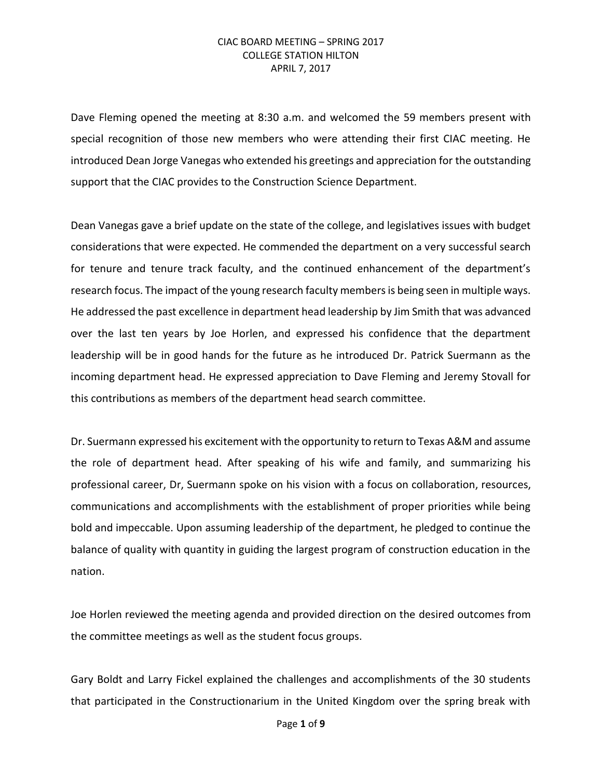Dave Fleming opened the meeting at 8:30 a.m. and welcomed the 59 members present with special recognition of those new members who were attending their first CIAC meeting. He introduced Dean Jorge Vanegas who extended his greetings and appreciation for the outstanding support that the CIAC provides to the Construction Science Department.

Dean Vanegas gave a brief update on the state of the college, and legislatives issues with budget considerations that were expected. He commended the department on a very successful search for tenure and tenure track faculty, and the continued enhancement of the department's research focus. The impact of the young research faculty members is being seen in multiple ways. He addressed the past excellence in department head leadership by Jim Smith that was advanced over the last ten years by Joe Horlen, and expressed his confidence that the department leadership will be in good hands for the future as he introduced Dr. Patrick Suermann as the incoming department head. He expressed appreciation to Dave Fleming and Jeremy Stovall for this contributions as members of the department head search committee.

Dr. Suermann expressed his excitement with the opportunity to return to Texas A&M and assume the role of department head. After speaking of his wife and family, and summarizing his professional career, Dr, Suermann spoke on his vision with a focus on collaboration, resources, communications and accomplishments with the establishment of proper priorities while being bold and impeccable. Upon assuming leadership of the department, he pledged to continue the balance of quality with quantity in guiding the largest program of construction education in the nation.

Joe Horlen reviewed the meeting agenda and provided direction on the desired outcomes from the committee meetings as well as the student focus groups.

Gary Boldt and Larry Fickel explained the challenges and accomplishments of the 30 students that participated in the Constructionarium in the United Kingdom over the spring break with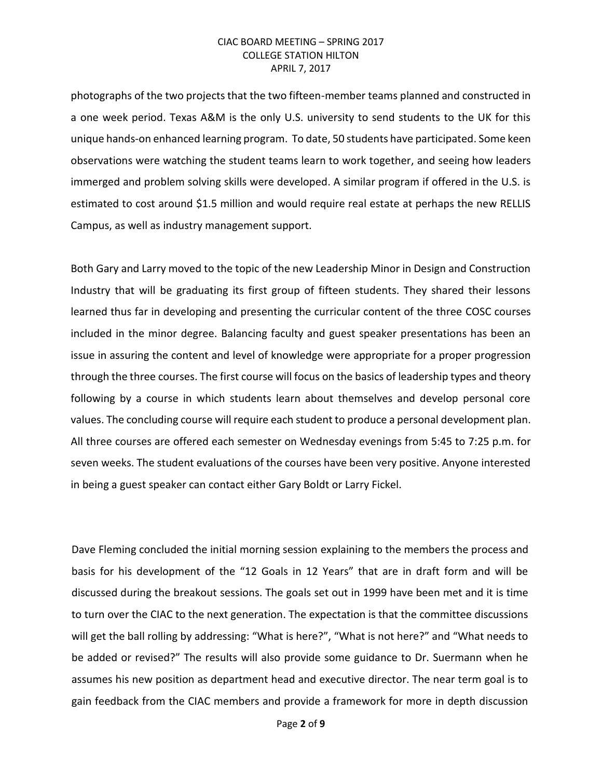photographs of the two projects that the two fifteen-member teams planned and constructed in a one week period. Texas A&M is the only U.S. university to send students to the UK for this unique hands-on enhanced learning program. To date, 50 students have participated. Some keen observations were watching the student teams learn to work together, and seeing how leaders immerged and problem solving skills were developed. A similar program if offered in the U.S. is estimated to cost around \$1.5 million and would require real estate at perhaps the new RELLIS Campus, as well as industry management support.

Both Gary and Larry moved to the topic of the new Leadership Minor in Design and Construction Industry that will be graduating its first group of fifteen students. They shared their lessons learned thus far in developing and presenting the curricular content of the three COSC courses included in the minor degree. Balancing faculty and guest speaker presentations has been an issue in assuring the content and level of knowledge were appropriate for a proper progression through the three courses. The first course will focus on the basics of leadership types and theory following by a course in which students learn about themselves and develop personal core values. The concluding course will require each student to produce a personal development plan. All three courses are offered each semester on Wednesday evenings from 5:45 to 7:25 p.m. for seven weeks. The student evaluations of the courses have been very positive. Anyone interested in being a guest speaker can contact either Gary Boldt or Larry Fickel.

Dave Fleming concluded the initial morning session explaining to the members the process and basis for his development of the "12 Goals in 12 Years" that are in draft form and will be discussed during the breakout sessions. The goals set out in 1999 have been met and it is time to turn over the CIAC to the next generation. The expectation is that the committee discussions will get the ball rolling by addressing: "What is here?", "What is not here?" and "What needs to be added or revised?" The results will also provide some guidance to Dr. Suermann when he assumes his new position as department head and executive director. The near term goal is to gain feedback from the CIAC members and provide a framework for more in depth discussion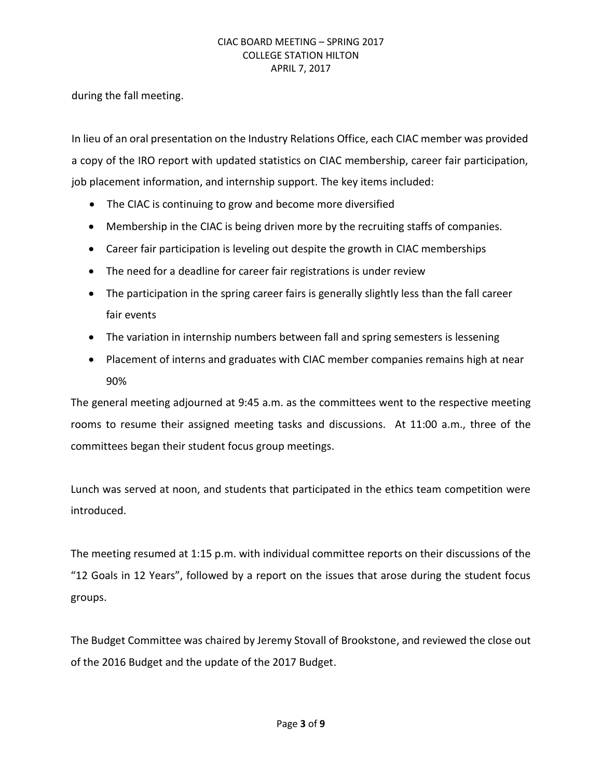during the fall meeting.

In lieu of an oral presentation on the Industry Relations Office, each CIAC member was provided a copy of the IRO report with updated statistics on CIAC membership, career fair participation, job placement information, and internship support. The key items included:

- The CIAC is continuing to grow and become more diversified
- Membership in the CIAC is being driven more by the recruiting staffs of companies.
- Career fair participation is leveling out despite the growth in CIAC memberships
- The need for a deadline for career fair registrations is under review
- The participation in the spring career fairs is generally slightly less than the fall career fair events
- The variation in internship numbers between fall and spring semesters is lessening
- Placement of interns and graduates with CIAC member companies remains high at near 90%

The general meeting adjourned at 9:45 a.m. as the committees went to the respective meeting rooms to resume their assigned meeting tasks and discussions. At 11:00 a.m., three of the committees began their student focus group meetings.

Lunch was served at noon, and students that participated in the ethics team competition were introduced.

The meeting resumed at 1:15 p.m. with individual committee reports on their discussions of the "12 Goals in 12 Years", followed by a report on the issues that arose during the student focus groups.

The Budget Committee was chaired by Jeremy Stovall of Brookstone, and reviewed the close out of the 2016 Budget and the update of the 2017 Budget.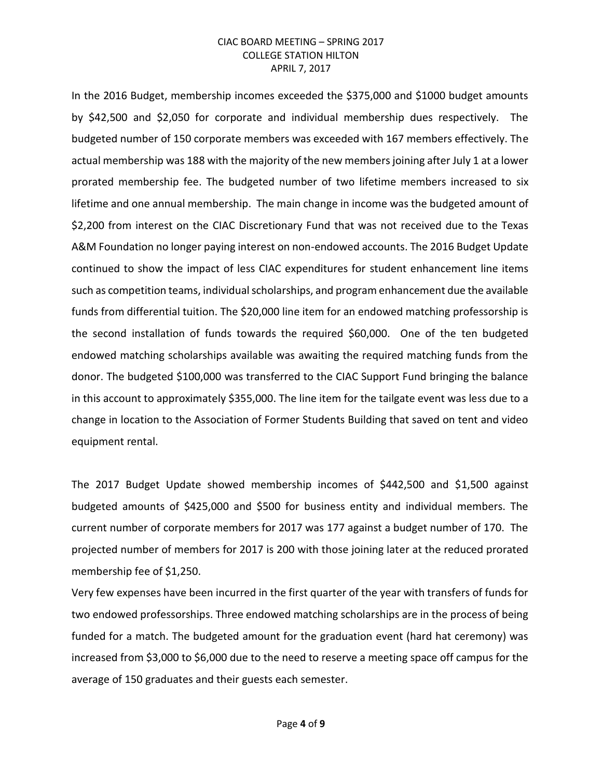In the 2016 Budget, membership incomes exceeded the \$375,000 and \$1000 budget amounts by \$42,500 and \$2,050 for corporate and individual membership dues respectively. The budgeted number of 150 corporate members was exceeded with 167 members effectively. The actual membership was 188 with the majority of the new members joining after July 1 at a lower prorated membership fee. The budgeted number of two lifetime members increased to six lifetime and one annual membership. The main change in income was the budgeted amount of \$2,200 from interest on the CIAC Discretionary Fund that was not received due to the Texas A&M Foundation no longer paying interest on non-endowed accounts. The 2016 Budget Update continued to show the impact of less CIAC expenditures for student enhancement line items such as competition teams, individual scholarships, and program enhancement due the available funds from differential tuition. The \$20,000 line item for an endowed matching professorship is the second installation of funds towards the required \$60,000. One of the ten budgeted endowed matching scholarships available was awaiting the required matching funds from the donor. The budgeted \$100,000 was transferred to the CIAC Support Fund bringing the balance in this account to approximately \$355,000. The line item for the tailgate event was less due to a change in location to the Association of Former Students Building that saved on tent and video equipment rental.

The 2017 Budget Update showed membership incomes of \$442,500 and \$1,500 against budgeted amounts of \$425,000 and \$500 for business entity and individual members. The current number of corporate members for 2017 was 177 against a budget number of 170. The projected number of members for 2017 is 200 with those joining later at the reduced prorated membership fee of \$1,250.

Very few expenses have been incurred in the first quarter of the year with transfers of funds for two endowed professorships. Three endowed matching scholarships are in the process of being funded for a match. The budgeted amount for the graduation event (hard hat ceremony) was increased from \$3,000 to \$6,000 due to the need to reserve a meeting space off campus for the average of 150 graduates and their guests each semester.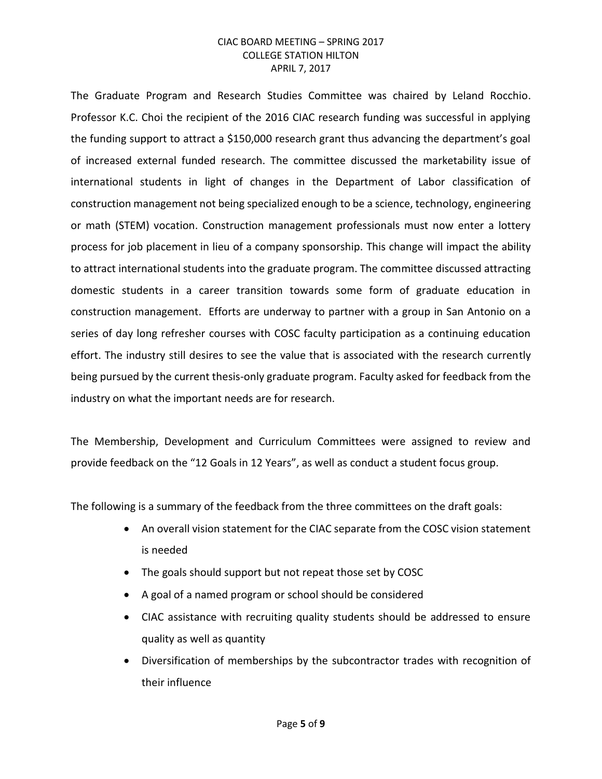The Graduate Program and Research Studies Committee was chaired by Leland Rocchio. Professor K.C. Choi the recipient of the 2016 CIAC research funding was successful in applying the funding support to attract a \$150,000 research grant thus advancing the department's goal of increased external funded research. The committee discussed the marketability issue of international students in light of changes in the Department of Labor classification of construction management not being specialized enough to be a science, technology, engineering or math (STEM) vocation. Construction management professionals must now enter a lottery process for job placement in lieu of a company sponsorship. This change will impact the ability to attract international students into the graduate program. The committee discussed attracting domestic students in a career transition towards some form of graduate education in construction management. Efforts are underway to partner with a group in San Antonio on a series of day long refresher courses with COSC faculty participation as a continuing education effort. The industry still desires to see the value that is associated with the research currently being pursued by the current thesis-only graduate program. Faculty asked for feedback from the industry on what the important needs are for research.

The Membership, Development and Curriculum Committees were assigned to review and provide feedback on the "12 Goals in 12 Years", as well as conduct a student focus group.

The following is a summary of the feedback from the three committees on the draft goals:

- An overall vision statement for the CIAC separate from the COSC vision statement is needed
- The goals should support but not repeat those set by COSC
- A goal of a named program or school should be considered
- CIAC assistance with recruiting quality students should be addressed to ensure quality as well as quantity
- Diversification of memberships by the subcontractor trades with recognition of their influence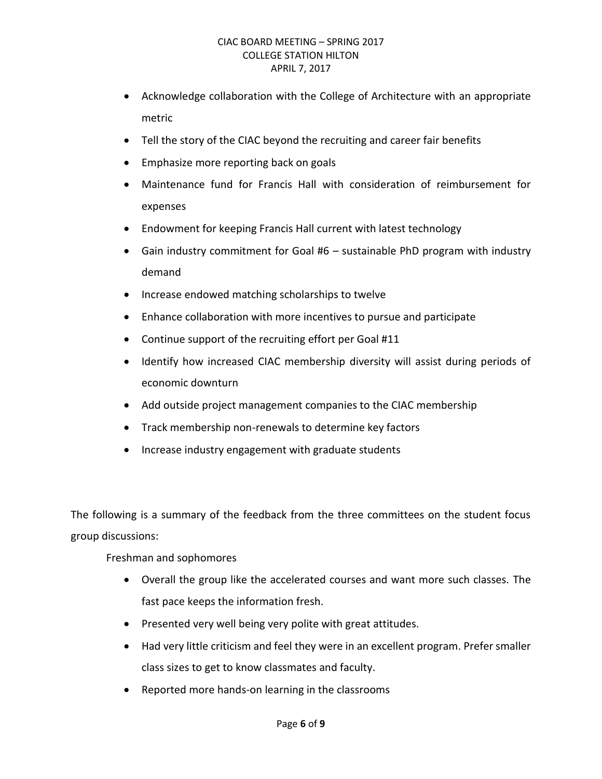- Acknowledge collaboration with the College of Architecture with an appropriate metric
- Tell the story of the CIAC beyond the recruiting and career fair benefits
- Emphasize more reporting back on goals
- Maintenance fund for Francis Hall with consideration of reimbursement for expenses
- Endowment for keeping Francis Hall current with latest technology
- Gain industry commitment for Goal #6 sustainable PhD program with industry demand
- Increase endowed matching scholarships to twelve
- Enhance collaboration with more incentives to pursue and participate
- Continue support of the recruiting effort per Goal #11
- Identify how increased CIAC membership diversity will assist during periods of economic downturn
- Add outside project management companies to the CIAC membership
- Track membership non-renewals to determine key factors
- Increase industry engagement with graduate students

The following is a summary of the feedback from the three committees on the student focus group discussions:

Freshman and sophomores

- Overall the group like the accelerated courses and want more such classes. The fast pace keeps the information fresh.
- Presented very well being very polite with great attitudes.
- Had very little criticism and feel they were in an excellent program. Prefer smaller class sizes to get to know classmates and faculty.
- Reported more hands-on learning in the classrooms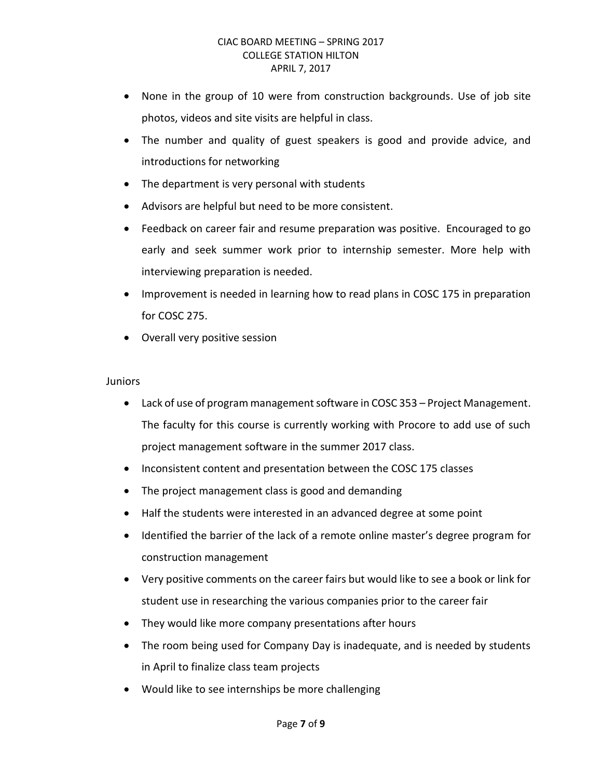- None in the group of 10 were from construction backgrounds. Use of job site photos, videos and site visits are helpful in class.
- The number and quality of guest speakers is good and provide advice, and introductions for networking
- The department is very personal with students
- Advisors are helpful but need to be more consistent.
- Feedback on career fair and resume preparation was positive. Encouraged to go early and seek summer work prior to internship semester. More help with interviewing preparation is needed.
- Improvement is needed in learning how to read plans in COSC 175 in preparation for COSC 275.
- Overall very positive session

#### **Juniors**

- Lack of use of program management software in COSC 353 Project Management. The faculty for this course is currently working with Procore to add use of such project management software in the summer 2017 class.
- Inconsistent content and presentation between the COSC 175 classes
- The project management class is good and demanding
- Half the students were interested in an advanced degree at some point
- Identified the barrier of the lack of a remote online master's degree program for construction management
- Very positive comments on the career fairs but would like to see a book or link for student use in researching the various companies prior to the career fair
- They would like more company presentations after hours
- The room being used for Company Day is inadequate, and is needed by students in April to finalize class team projects
- Would like to see internships be more challenging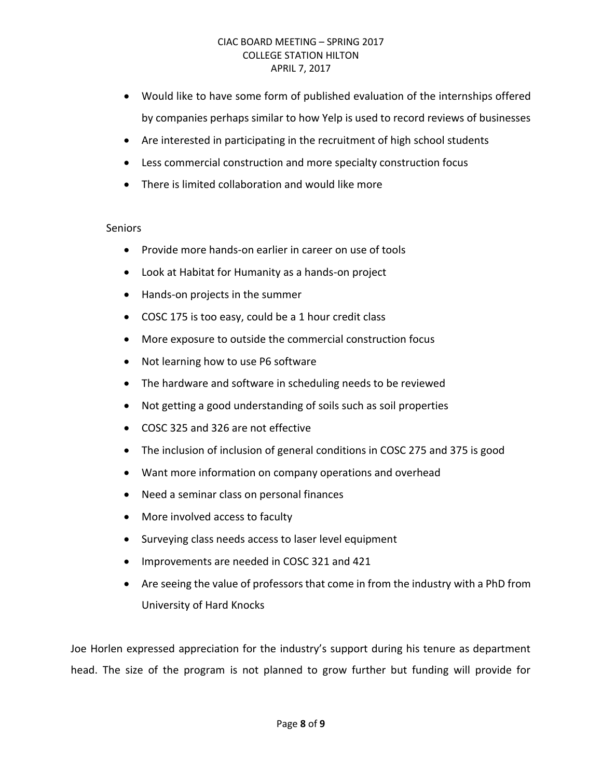- Would like to have some form of published evaluation of the internships offered by companies perhaps similar to how Yelp is used to record reviews of businesses
- Are interested in participating in the recruitment of high school students
- Less commercial construction and more specialty construction focus
- There is limited collaboration and would like more

# Seniors

- Provide more hands-on earlier in career on use of tools
- Look at Habitat for Humanity as a hands-on project
- Hands-on projects in the summer
- COSC 175 is too easy, could be a 1 hour credit class
- More exposure to outside the commercial construction focus
- Not learning how to use P6 software
- The hardware and software in scheduling needs to be reviewed
- Not getting a good understanding of soils such as soil properties
- COSC 325 and 326 are not effective
- The inclusion of inclusion of general conditions in COSC 275 and 375 is good
- Want more information on company operations and overhead
- Need a seminar class on personal finances
- More involved access to faculty
- Surveying class needs access to laser level equipment
- Improvements are needed in COSC 321 and 421
- Are seeing the value of professors that come in from the industry with a PhD from University of Hard Knocks

Joe Horlen expressed appreciation for the industry's support during his tenure as department head. The size of the program is not planned to grow further but funding will provide for